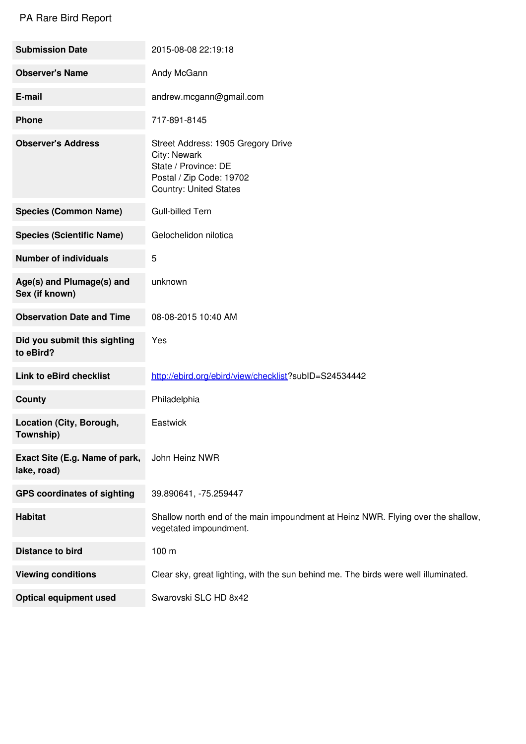## PA Rare Bird Report

| <b>Submission Date</b>                        | 2015-08-08 22:19:18                                                                                                                     |
|-----------------------------------------------|-----------------------------------------------------------------------------------------------------------------------------------------|
| <b>Observer's Name</b>                        | Andy McGann                                                                                                                             |
| E-mail                                        | andrew.mcgann@gmail.com                                                                                                                 |
| <b>Phone</b>                                  | 717-891-8145                                                                                                                            |
| <b>Observer's Address</b>                     | Street Address: 1905 Gregory Drive<br>City: Newark<br>State / Province: DE<br>Postal / Zip Code: 19702<br><b>Country: United States</b> |
| <b>Species (Common Name)</b>                  | <b>Gull-billed Tern</b>                                                                                                                 |
| <b>Species (Scientific Name)</b>              | Gelochelidon nilotica                                                                                                                   |
| <b>Number of individuals</b>                  | 5                                                                                                                                       |
| Age(s) and Plumage(s) and<br>Sex (if known)   | unknown                                                                                                                                 |
| <b>Observation Date and Time</b>              | 08-08-2015 10:40 AM                                                                                                                     |
| Did you submit this sighting<br>to eBird?     | Yes                                                                                                                                     |
| <b>Link to eBird checklist</b>                | http://ebird.org/ebird/view/checklist?subID=S24534442                                                                                   |
| County                                        | Philadelphia                                                                                                                            |
| Location (City, Borough,<br>Township)         | Eastwick                                                                                                                                |
| Exact Site (E.g. Name of park,<br>lake, road) | John Heinz NWR                                                                                                                          |
| <b>GPS coordinates of sighting</b>            | 39.890641, -75.259447                                                                                                                   |
| <b>Habitat</b>                                | Shallow north end of the main impoundment at Heinz NWR. Flying over the shallow,<br>vegetated impoundment.                              |
| <b>Distance to bird</b>                       | 100 m                                                                                                                                   |
| <b>Viewing conditions</b>                     | Clear sky, great lighting, with the sun behind me. The birds were well illuminated.                                                     |
| <b>Optical equipment used</b>                 | Swarovski SLC HD 8x42                                                                                                                   |